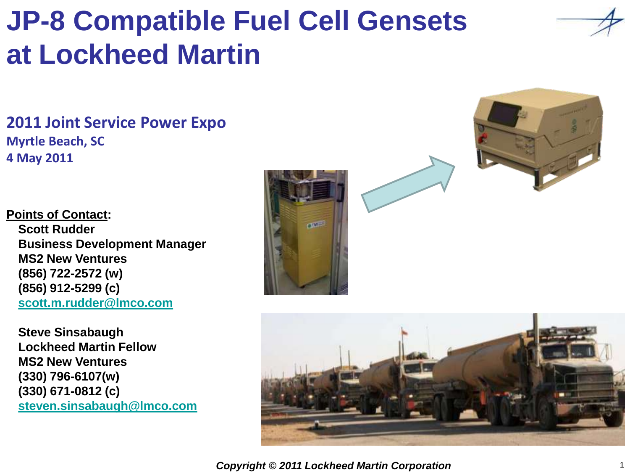# **JP-8 Compatible Fuel Cell Gensets at Lockheed Martin**

**2011 Joint Service Power Expo Myrtle Beach, SC 4 May 2011**

**Points of Contact: Scott Rudder Business Development Manager MS2 New Ventures (856) 722-2572 (w) (856) 912-5299 (c) [scott.m.rudder@lmco.com](mailto:scott.m.rudder@lmco.com)**

**Steve Sinsabaugh Lockheed Martin Fellow MS2 New Ventures (330) 796-6107(w) (330) 671-0812 (c) [steven.sinsabaugh@lmco.com](mailto:steven.sinsabaugh@lmco.com)**







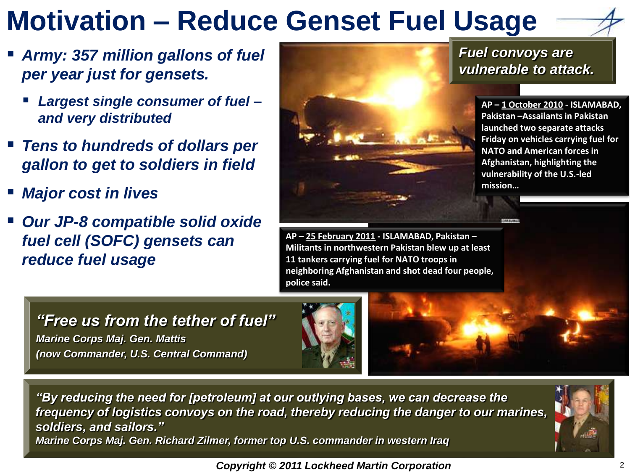## **Motivation – Reduce Genset Fuel Usage**

- *Army: 357 million gallons of fuel per year just for gensets.* 
	- *Largest single consumer of fuel – and very distributed*
- *Tens to hundreds of dollars per gallon to get to soldiers in field*
- *Major cost in lives*
- *Our JP-8 compatible solid oxide fuel cell (SOFC) gensets can reduce fuel usage*



*Fuel convoys are vulnerable to attack.*

> **AP – 1 October 2010 - ISLAMABAD, Pakistan –Assailants in Pakistan launched two separate attacks Friday on vehicles carrying fuel for NATO and American forces in Afghanistan, highlighting the vulnerability of the U.S.-led mission…**

**AP – 25 February 2011 - ISLAMABAD, Pakistan – Militants in northwestern Pakistan blew up at least 11 tankers carrying fuel for NATO troops in neighboring Afghanistan and shot dead four people, police said.**

*"Free us from the tether of fuel" Marine Corps Maj. Gen. Mattis (now Commander, U.S. Central Command)*





*"By reducing the need for [petroleum] at our outlying bases, we can decrease the frequency of logistics convoys on the road, thereby reducing the danger to our marines, soldiers, and sailors." Marine Corps Maj. Gen. Richard Zilmer, former top U.S. commander in western Iraq*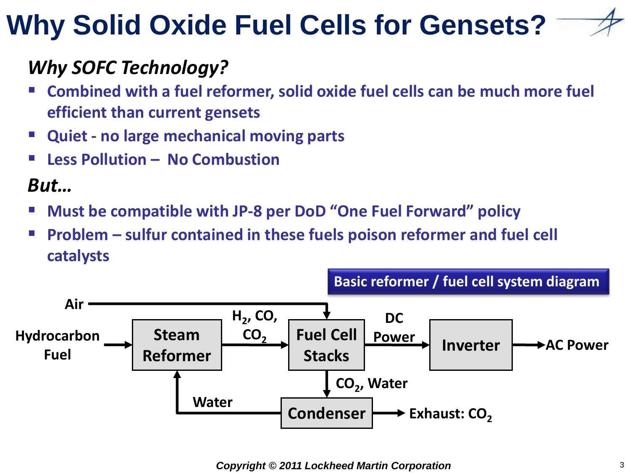# **Why Solid Oxide Fuel Cells for Gensets?**

### *Why SOFC Technology?*

- **Combined with a fuel reformer, solid oxide fuel cells can be much more fuel efficient than current gensets**
- **Quiet - no large mechanical moving parts**
- **Less Pollution – No Combustion**

## *But…*

- **Must be compatible with JP-8 per DoD "One Fuel Forward" policy**
- **Problem – sulfur contained in these fuels poison reformer and fuel cell catalysts**

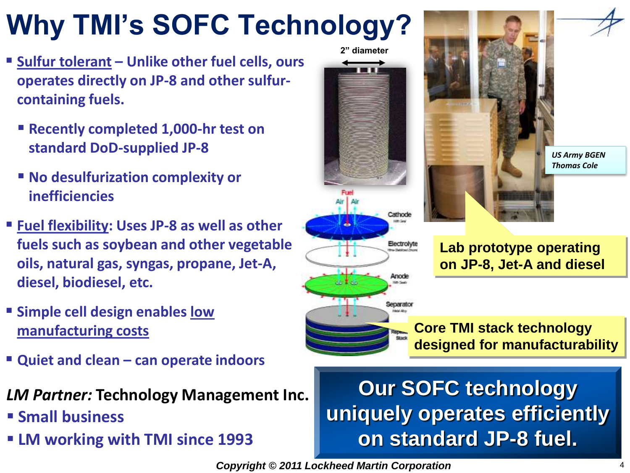# **Why TMI's SOFC Technology?**

- **Sulfur tolerant – Unlike other fuel cells, ours operates directly on JP-8 and other sulfurcontaining fuels.**
	- **Recently completed 1,000-hr test on standard DoD-supplied JP-8**
	- No desulfurization complexity or **inefficiencies**
- **Fuel flexibility: Uses JP-8 as well as other fuels such as soybean and other vegetable oils, natural gas, syngas, propane, Jet-A, diesel, biodiesel, etc.**
- **Example cell design enables low manufacturing costs**
- **Quiet and clean – can operate indoors**
- *LM Partner:* **Technology Management Inc.**
- **Small business**
- **LM working with TMI since 1993**





Anode

Separator



**Lab prototype operating on JP-8, Jet-A and diesel**

#### **Core TMI stack technology designed for manufacturability**

## **Our SOFC technology uniquely operates efficiently on standard JP-8 fuel.**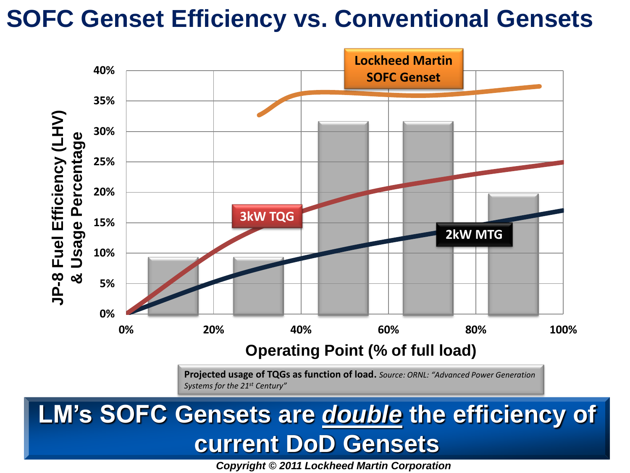## **SOFC Genset Efficiency vs. Conventional Gensets**



## **LM's SOFC Gensets are** *double* **the efficiency of current DoD Gensets**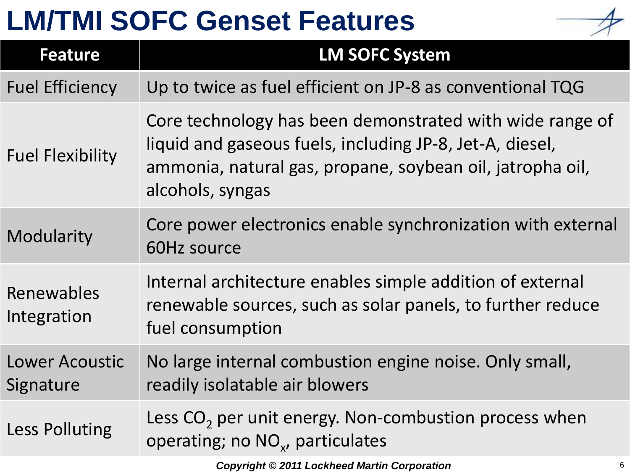## **LM/TMI SOFC Genset Features**



| <b>Feature</b>                     | <b>LM SOFC System</b>                                                                                                                                                                                 |   |
|------------------------------------|-------------------------------------------------------------------------------------------------------------------------------------------------------------------------------------------------------|---|
| <b>Fuel Efficiency</b>             | Up to twice as fuel efficient on JP-8 as conventional TQG                                                                                                                                             |   |
| <b>Fuel Flexibility</b>            | Core technology has been demonstrated with wide range of<br>liquid and gaseous fuels, including JP-8, Jet-A, diesel,<br>ammonia, natural gas, propane, soybean oil, jatropha oil,<br>alcohols, syngas |   |
| Modularity                         | Core power electronics enable synchronization with external<br>60Hz source                                                                                                                            |   |
| Renewables<br>Integration          | Internal architecture enables simple addition of external<br>renewable sources, such as solar panels, to further reduce<br>fuel consumption                                                           |   |
| <b>Lower Acoustic</b><br>Signature | No large internal combustion engine noise. Only small,<br>readily isolatable air blowers                                                                                                              |   |
| <b>Less Polluting</b>              | Less $CO2$ per unit energy. Non-combustion process when<br>operating; no NO <sub>x</sub> , particulates                                                                                               |   |
|                                    | <b>Copyright © 2011 Lockheed Martin Corporation</b>                                                                                                                                                   | 6 |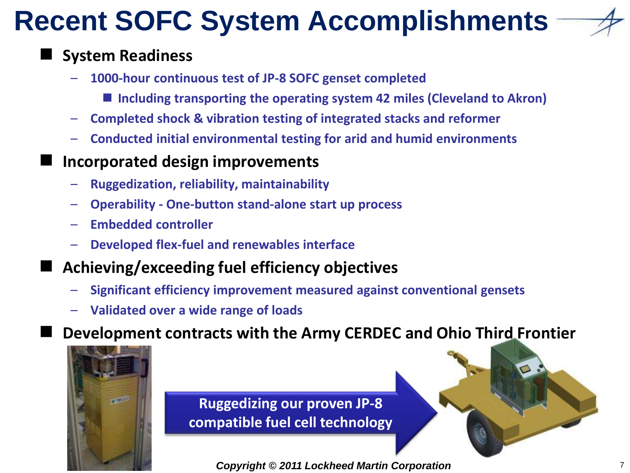# **Recent SOFC System Accomplishments**



### **System Readiness**

- **1000-hour continuous test of JP-8 SOFC genset completed**
	- **Including transporting the operating system 42 miles (Cleveland to Akron)**
- **Completed shock & vibration testing of integrated stacks and reformer**
- **Conducted initial environmental testing for arid and humid environments**
- **Incorporated design improvements** 
	- **Ruggedization, reliability, maintainability**
	- **Operability - One-button stand-alone start up process**
	- **Embedded controller**
	- **Developed flex-fuel and renewables interface**
- **Achieving/exceeding fuel efficiency objectives**
	- **Significant efficiency improvement measured against conventional gensets**
	- **Validated over a wide range of loads**

**Development contracts with the Army CERDEC and Ohio Third Frontier**



**Ruggedizing our proven JP-8 compatible fuel cell technology**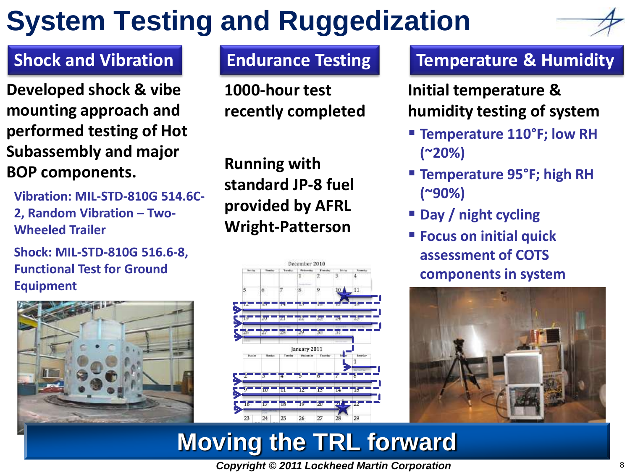# **System Testing and Ruggedization**



**Developed shock & vibe mounting approach and performed testing of Hot Subassembly and major BOP components.** 

**Vibration: MIL-STD-810G 514.6C-2, Random Vibration – Two-Wheeled Trailer**

**Shock: MIL-STD-810G 516.6-8, Functional Test for Ground Equipment**



**1000-hour test recently completed**

**Running with standard JP-8 fuel provided by AFRL Wright-Patterson**



#### **Shock and Vibration | Endurance Testing | Temperature & Humidity**

**Initial temperature & humidity testing of system**

- **Temperature 110°F; low RH (~20%)**
- **Temperature 95°F; high RH (~90%)**
- **Day / night cycling**
- **Focus on initial quick assessment of COTS components in system**



## **Moving the TRL forward**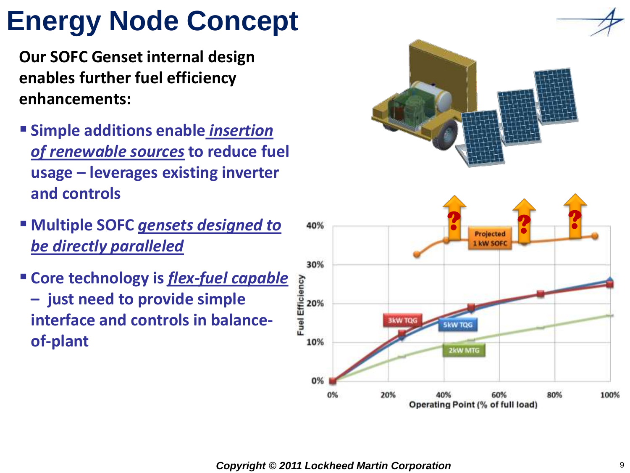# **Energy Node Concept**

**Our SOFC Genset internal design enables further fuel efficiency enhancements:**

- **Example additions enable** *insertion of renewable sources* **to reduce fuel usage – leverages existing inverter and controls**
- **Multiple SOFC** *gensets designed to be directly paralleled*
- **Core technology is** *flex-fuel capable*  **– just need to provide simple interface and controls in balanceof-plant**

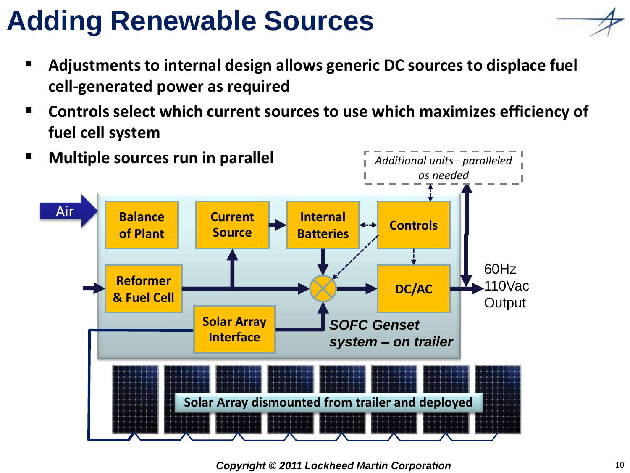## **Adding Renewable Sources**

- **Adjustments to internal design allows generic DC sources to displace fuel cell-generated power as required**
- **Controls select which current sources to use which maximizes efficiency of fuel cell system**

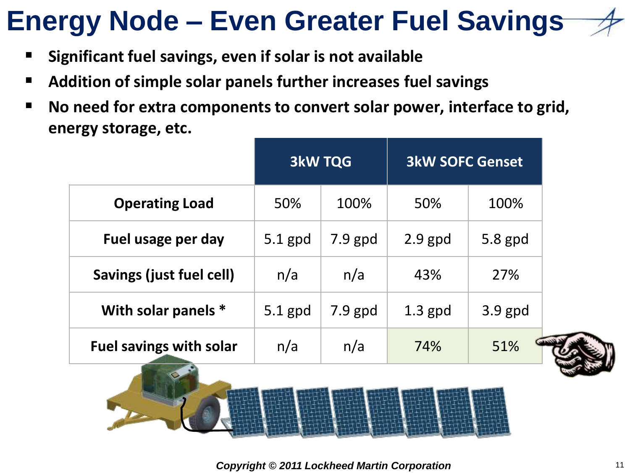## **Energy Node – Even Greater Fuel Savings**

**Significant fuel savings, even if solar is not available** 

 $\frac{1}{\sqrt{2}}$ 

- **Addition of simple solar panels further increases fuel savings**
- **No need for extra components to convert solar power, interface to grid, energy storage, etc.**

|                                 | <b>3kW TQG</b> |           | <b>3kW SOFC Genset</b> |           |  |  |  |
|---------------------------------|----------------|-----------|------------------------|-----------|--|--|--|
| <b>Operating Load</b>           | 50%            | 100%      | 50%                    | 100%      |  |  |  |
| Fuel usage per day              | $5.1$ gpd      | $7.9$ gpd | $2.9$ gpd              | 5.8 gpd   |  |  |  |
| Savings (just fuel cell)        | n/a            | n/a       | 43%                    | 27%       |  |  |  |
| With solar panels *             | $5.1$ gpd      | $7.9$ gpd | $1.3$ gpd              | $3.9$ gpd |  |  |  |
| <b>Fuel savings with solar</b>  | n/a            | n/a       | 74%                    | 51%       |  |  |  |
| 민준다 어머니 어머니 어머니 어머니 어머니 어머니 어머니 |                |           |                        |           |  |  |  |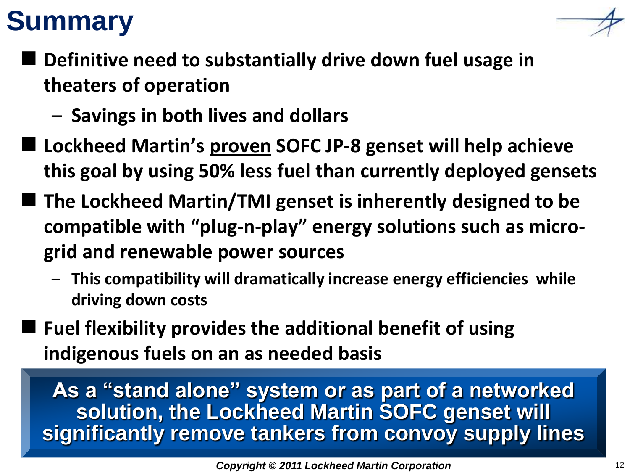## **Summary**



- **Definitive need to substantially drive down fuel usage in theaters of operation**
	- **Savings in both lives and dollars**
- **Lockheed Martin's proven SOFC JP-8 genset will help achieve this goal by using 50% less fuel than currently deployed gensets**
- The Lockheed Martin/TMI genset is inherently designed to be **compatible with "plug-n-play" energy solutions such as microgrid and renewable power sources**
	- **This compatibility will dramatically increase energy efficiencies while driving down costs**
- **Fuel flexibility provides the additional benefit of using indigenous fuels on an as needed basis**

**As a "stand alone" system or as part of a networked solution, the Lockheed Martin SOFC genset will significantly remove tankers from convoy supply lines**